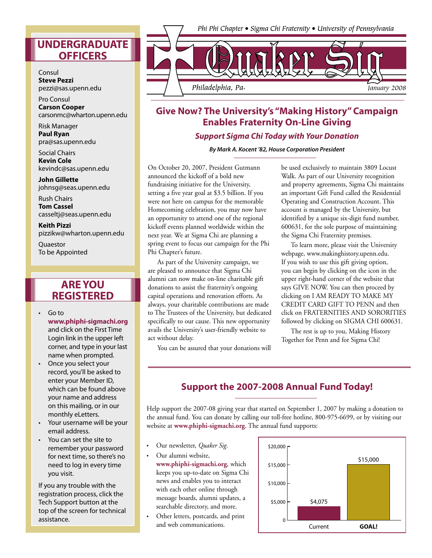Consul **Steve Pezzi**  pezzi@sas.upenn.edu

Pro Consul **Carson Cooper** carsonmc@wharton.upenn.edu

Risk Manager **Paul Ryan** pra@sas.upenn.edu

Social Chairs **Kevin Cole** kevindc@sas.upenn.edu

**John Gillette** johnsg@seas.upenn.edu

Rush Chairs **Tom Cassel** casseltj@seas.upenn.edu

**Keith Pizzi** pizzikw@wharton.upenn.edu

**Quaestor** To be Appointed

### **ARE YOU REGISTERED**

- Go to **www.phiphi-sigmachi.org** and click on the First Time Login link in the upper left corner, and type in your last name when prompted.
- Once you select your record, you'll be asked to enter your Member ID, which can be found above your name and address on this mailing, or in our monthly eLetters.
- Your username will be your email address.
- You can set the site to remember your password for next time, so there's no need to log in every time you visit.

If you any trouble with the registration process, click the Tech Support button at the top of the screen for technical assistance.



# **Give Now? The University's "Making History" Campaign Enables Fraternity On-Line Giving**

#### **Support Sigma Chi Today with Your Donation**

**By Mark A. Kocent '82, House Corporation President**

On October 20, 2007, President Gutmann announced the kickoff of a bold new fundraising initiative for the University, setting a five year goal at \$3.5 billion. If you were not here on campus for the memorable Homecoming celebration, you may now have an opportunity to attend one of the regional kickoff events planned worldwide within the next year. We at Sigma Chi are planning a spring event to focus our campaign for the Phi Phi Chapter's future.

 As part of the University campaign, we are pleased to announce that Sigma Chi alumni can now make on-line charitable gift donations to assist the fraternity's ongoing capital operations and renovation efforts. As always, your charitable contributions are made to The Trustees of the University, but dedicated specifically to our cause. This new opportunity avails the University's user-friendly website to act without delay.

You can be assured that your donations will

be used exclusively to maintain 3809 Locust Walk. As part of our University recognition and property agreements, Sigma Chi maintains an important Gift Fund called the Residential Operating and Construction Account. This account is managed by the University, but identified by a unique six-digit fund number, 600631, for the sole purpose of maintaining the Sigma Chi Fraternity premises.

 To learn more, please visit the University webpage, www.makinghistory.upenn.edu. If you wish to use this gift giving option, you can begin by clicking on the icon in the upper right-hand corner of the website that says GIVE NOW. You can then proceed by clicking on I AM READY TO MAKE MY CREDIT CARD GIFT TO PENN and then click on FRATERNITIES AND SORORITIES followed by clicking on SIGMA CHI 600631.

 The rest is up to you, Making History Together for Penn and for Sigma Chi!

### **Support the 2007-2008 Annual Fund Today!**

Help support the 2007-08 giving year that started on September 1, 2007 by making a donation to the annual fund. You can donate by calling our toll-free hotline, 800-975-6699, or by visiting our website at **www.phiphi-sigmachi.org**. The annual fund supports:

- Our newsletter, *Quaker Sig*.
- Our alumni website, **www.phiphi-sigmachi.org**, which keeps you up-to-date on Sigma Chi news and enables you to interact with each other online through message boards, alumni updates, a searchable directory, and more.
- Other letters, postcards, and print and web communications.

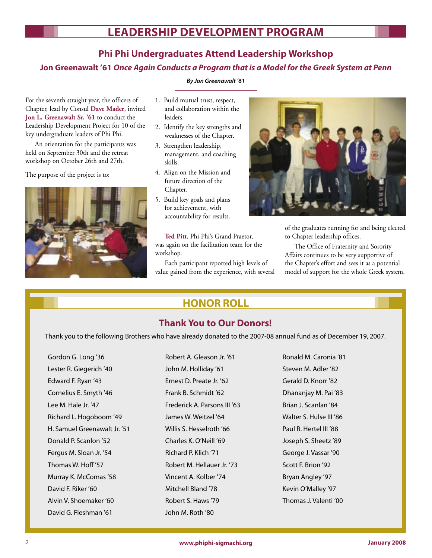## **LEADERSHIP DEVELOPMENT PROGRAM**

### **Phi Phi Undergraduates Attend Leadership Workshop**

**Jon Greenawalt '61 Once Again Conducts a Program that is a Model for the Greek System at Penn**

For the seventh straight year, the officers of Chapter, lead by Consul **Dave Mader**, invited **Jon L. Greenawalt Sr. '61** to conduct the Leadership Development Project for 10 of the key undergraduate leaders of Phi Phi.

 An orientation for the participants was held on September 30th and the retreat workshop on October 26th and 27th.

The purpose of the project is to:



- **By Jon Greenawalt '61**
- 1. Build mutual trust, respect, and collaboration within the leaders.
- 2. Identify the key strengths and weaknesses of the Chapter.
- 3. Strengthen leadership, management, and coaching skills.
- 4. Align on the Mission and future direction of the Chapter.
- 5. Build key goals and plans for achievement, with accountability for results.

**Ted Pitt**, Phi Phi's Grand Praetor, was again on the facilitation team for the workshop.

 Each participant reported high levels of value gained from the experience, with several



of the graduates running for and being elected to Chapter leadership offices.

 The Office of Fraternity and Sorority Affairs continues to be very supportive of the Chapter's effort and sees it as a potential model of support for the whole Greek system.

## **HONOR ROLL**

### **Thank You to Our Donors!**

Thank you to the following Brothers who have already donated to the 2007-08 annual fund as of December 19, 2007.

Gordon G. Long '36 Lester R. Giegerich '40 Edward F. Ryan '43 Cornelius E. Smyth '46 Lee M. Hale Jr. '47 Richard L. Hogoboom '49 H. Samuel Greenawalt Jr. '51 Donald P. Scanlon '52 Fergus M. Sloan Jr. '54 Thomas W. Hoff '57 Murray K. McComas '58 David F. Riker '60 Alvin V. Shoemaker '60 David G. Fleshman '61

Robert A. Gleason Jr. '61 John M. Holliday '61 Ernest D. Preate Jr. '62 Frank B. Schmidt '62 Frederick A. Parsons III '63 James W. Weitzel '64 Willis S. Hesselroth '66 Charles K. O'Neill '69 Richard P. Klich '71 Robert M. Hellauer Jr. '73 Vincent A. Kolber '74 Mitchell Bland '78 Robert S. Haws '79 John M. Roth '80

Ronald M. Caronia '81 Steven M. Adler '82 Gerald D. Knorr '82 Dhananjay M. Pai '83 Brian J. Scanlan '84 Walter S. Hulse III '86 Paul R. Hertel III '88 Joseph S. Sheetz '89 George J. Vassar '90 Scott F. Brion '92 Bryan Angley '97 Kevin O'Malley '97 Thomas J. Valenti '00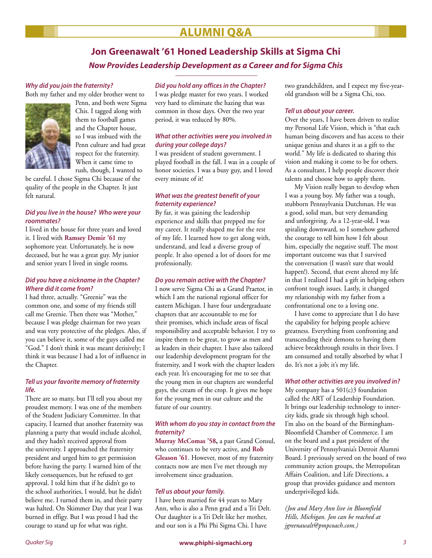## **ALUMNI Q&A**

## **Jon Greenawalt '61 Honed Leadership Skills at Sigma Chi Now Provides Leadership Development as a Career and for Sigma Chis**

#### **Why did you join the fraternity?**

Both my father and my older brother went to



Penn, and both were Sigma Chis. I tagged along with them to football games and the Chapter house, so I was imbued with the Penn culture and had great respect for the fraternity. When it came time to rush, though, I wanted to

be careful. I chose Sigma Chi because of the quality of the people in the Chapter. It just felt natural.

#### **Did you live in the house? Who were your roommates?**

I lived in the house for three years and loved it. I lived with **Ramsey Demir '61** my sophomore year. Unfortunately, he is now deceased, but he was a great guy. My junior and senior years I lived in single rooms.

#### **Did you have a nickname in the Chapter? Where did it come from?**

I had three, actually. "Greenie" was the common one, and some of my friends still call me Greenie. Then there was "Mother," because I was pledge chairman for two years and was very protective of the pledges. Also, if you can believe it, some of the guys called me "God." I don't think it was meant derisively; I think it was because I had a lot of influence in the Chapter.

#### **Tell us your favorite memory of fraternity life.**

There are so many, but I'll tell you about my proudest memory. I was one of the members of the Student Judiciary Committee. In that capacity, I learned that another fraternity was planning a party that would include alcohol, and they hadn't received approval from the university. I approached the fraternity president and urged him to get permission before having the party. I warned him of the likely consequences, but he refused to get approval. I told him that if he didn't go to the school authorities, I would, but he didn't believe me. I turned them in, and their party was halted. On Skimmer Day that year I was burned in effigy. But I was proud I had the courage to stand up for what was right.

#### **Did you hold any offices in the Chapter?**

I was pledge master for two years. I worked very hard to eliminate the hazing that was common in those days. Over the two year period, it was reduced by 80%.

#### **What other activities were you involved in during your college days?**

I was president of student government. I played football in the fall. I was in a couple of honor societies. I was a busy guy, and I loved every minute of it!

#### **What was the greatest benefit of your fraternity experience?**

By far, it was gaining the leadership experience and skills that prepped me for my career. It really shaped me for the rest of my life. I learned how to get along with, understand, and lead a diverse group of people. It also opened a lot of doors for me professionally.

#### **Do you remain active with the Chapter?**

I now serve Sigma Chi as a Grand Praetor, in which I am the national regional officer for eastern Michigan. I have four undergraduate chapters that are accountable to me for their promises, which include areas of fiscal responsibility and acceptable behavior. I try to inspire them to be great, to grow as men and as leaders in their chapter. I have also tailored our leadership development program for the fraternity, and I work with the chapter leaders each year. It's encouraging for me to see that the young men in our chapters are wonderful guys, the cream of the crop. It gives me hope for the young men in our culture and the future of our country.

#### **With whom do you stay in contact from the fraternity?**

**Murray McComas '58,** a past Grand Consul, who continues to be very active, and **Rob Gleason '61**. However, most of my fraternity contacts now are men I've met through my involvement since graduation.

#### **Tell us about your family.**

I have been married for 44 years to Mary Ann, who is also a Penn grad and a Tri Delt. Our daughter is a Tri Delt like her mother, and our son is a Phi Phi Sigma Chi. I have

two grandchildren, and I expect my five-yearold grandson will be a Sigma Chi, too.

#### **Tell us about your career.**

Over the years, I have been driven to realize my Personal Life Vision, which is "that each human being discovers and has access to their unique genius and shares it as a gift to the world." My life is dedicated to sharing this vision and making it come to be for others. As a consultant, I help people discover their talents and choose how to apply them.

 My Vision really began to develop when I was a young boy. My father was a tough, stubborn Pennsylvania Dutchman. He was a good, solid man, but very demanding and unforgiving. As a 12-year-old, I was spiraling downward, so I somehow gathered the courage to tell him how I felt about him, especially the negative stuff. The most important outcome was that I survived the conversation (I wasn't sure that would happen!). Second, that event altered my life in that I realized I had a gift in helping others confront tough issues. Lastly, it changed my relationship with my father from a confrontational one to a loving one.

 I have come to appreciate that I do have the capability for helping people achieve greatness. Everything from confronting and transcending their demons to having them achieve breakthrough results in their lives. I am consumed and totally absorbed by what I do. It's not a job; it's my life.

#### **What other activities are you involved in?**

My company has a  $501(c)3$  foundation called the ART of Leadership Foundation. It brings our leadership technology to innercity kids, grade six through high school. I'm also on the board of the Birmingham-Bloomfield Chamber of Commerce. I am on the board and a past president of the University of Pennsylvania's Detroit Alumni Board. I previously served on the board of two community action groups, the Metropolitan Affairs Coalition, and Life Directions, a group that provides guidance and mentors underprivileged kids.

*(Jon and Mary Ann live in Bloomfield Hills, Michigan. Jon can be reached at jgreenawalt@pmpcoach.com.)*